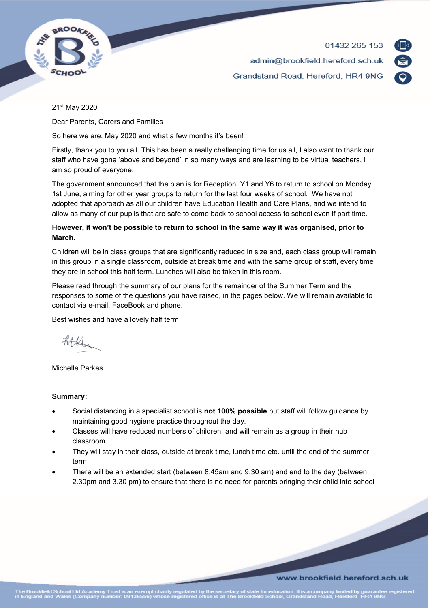

admin@brookfield.hereford.sch.uk

Grandstand Road, Hereford, HR4 9NG

21st May 2020

Dear Parents, Carers and Families

So here we are, May 2020 and what a few months it's been!

Firstly, thank you to you all. This has been a really challenging time for us all, I also want to thank our staff who have gone 'above and beyond' in so many ways and are learning to be virtual teachers, I am so proud of everyone.

The government announced that the plan is for Reception, Y1 and Y6 to return to school on Monday 1st June, aiming for other year groups to return for the last four weeks of school. We have not adopted that approach as all our children have Education Health and Care Plans, and we intend to allow as many of our pupils that are safe to come back to school access to school even if part time.

### **However, it won't be possible to return to school in the same way it was organised, prior to March.**

Children will be in class groups that are significantly reduced in size and, each class group will remain in this group in a single classroom, outside at break time and with the same group of staff, every time they are in school this half term. Lunches will also be taken in this room.

Please read through the summary of our plans for the remainder of the Summer Term and the responses to some of the questions you have raised, in the pages below. We will remain available to contact via e-mail, FaceBook and phone.

Best wishes and have a lovely half term

Michelle Parkes

#### **Summary:**

- Social distancing in a specialist school is **not 100% possible** but staff will follow guidance by maintaining good hygiene practice throughout the day.
- Classes will have reduced numbers of children, and will remain as a group in their hub classroom.
- They will stay in their class, outside at break time, lunch time etc. until the end of the summer term.
- There will be an extended start (between 8.45am and 9.30 am) and end to the day (between 2.30pm and 3.30 pm) to ensure that there is no need for parents bringing their child into school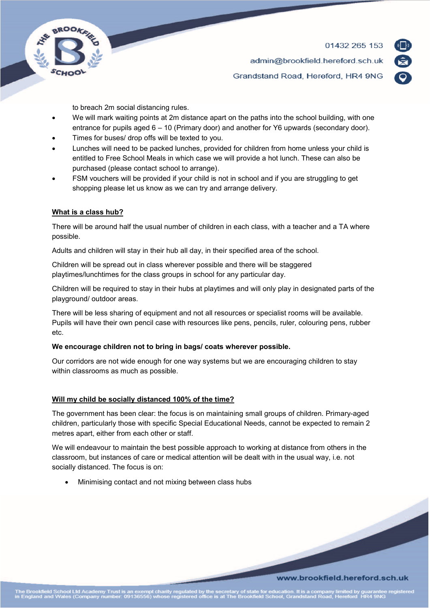



admin@brookfield.hereford.sch.uk

Grandstand Road, Hereford, HR4 9NG

to breach 2m social distancing rules.

- We will mark waiting points at 2m distance apart on the paths into the school building, with one entrance for pupils aged 6 – 10 (Primary door) and another for Y6 upwards (secondary door).
- Times for buses/ drop offs will be texted to you.
- Lunches will need to be packed lunches, provided for children from home unless your child is entitled to Free School Meals in which case we will provide a hot lunch. These can also be purchased (please contact school to arrange).
- FSM vouchers will be provided if your child is not in school and if you are struggling to get shopping please let us know as we can try and arrange delivery.

### **What is a class hub?**

There will be around half the usual number of children in each class, with a teacher and a TA where possible.

Adults and children will stay in their hub all day, in their specified area of the school.

Children will be spread out in class wherever possible and there will be staggered playtimes/lunchtimes for the class groups in school for any particular day.

Children will be required to stay in their hubs at playtimes and will only play in designated parts of the playground/ outdoor areas.

There will be less sharing of equipment and not all resources or specialist rooms will be available. Pupils will have their own pencil case with resources like pens, pencils, ruler, colouring pens, rubber etc.

### **We encourage children not to bring in bags/ coats wherever possible.**

Our corridors are not wide enough for one way systems but we are encouraging children to stay within classrooms as much as possible.

### **Will my child be socially distanced 100% of the time?**

The government has been clear: the focus is on maintaining small groups of children. Primary-aged children, particularly those with specific Special Educational Needs, cannot be expected to remain 2 metres apart, either from each other or staff.

We will endeavour to maintain the best possible approach to working at distance from others in the classroom, but instances of care or medical attention will be dealt with in the usual way, i.e. not socially distanced. The focus is on:

Minimising contact and not mixing between class hubs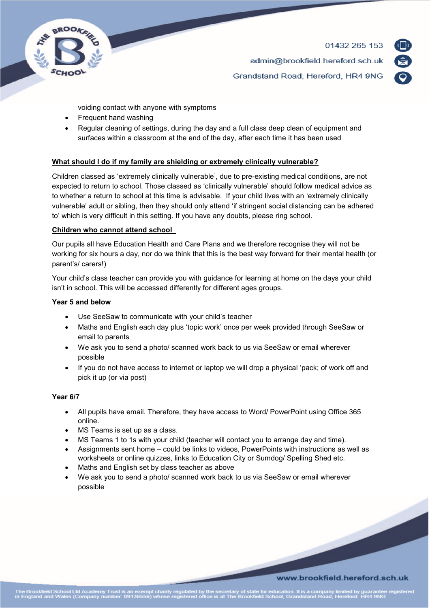

admin@brookfield.hereford.sch.uk

Grandstand Road, Hereford, HR4 9NG

voiding contact with anyone with symptoms

- Frequent hand washing
- Regular cleaning of settings, during the day and a full class deep clean of equipment and surfaces within a classroom at the end of the day, after each time it has been used

# **What should I do if my family are shielding or extremely clinically vulnerable?**

Children classed as 'extremely clinically vulnerable', due to pre-existing medical conditions, are not expected to return to school. Those classed as 'clinically vulnerable' should follow medical advice as to whether a return to school at this time is advisable. If your child lives with an 'extremely clinically vulnerable' adult or sibling, then they should only attend 'if stringent social distancing can be adhered to' which is very difficult in this setting. If you have any doubts, please ring school.

## **Children who cannot attend school**

Our pupils all have Education Health and Care Plans and we therefore recognise they will not be working for six hours a day, nor do we think that this is the best way forward for their mental health (or parent's/ carers!)

Your child's class teacher can provide you with guidance for learning at home on the days your child isn't in school. This will be accessed differently for different ages groups.

### **Year 5 and below**

- Use SeeSaw to communicate with your child's teacher
- Maths and English each day plus 'topic work' once per week provided through SeeSaw or email to parents
- We ask you to send a photo/ scanned work back to us via SeeSaw or email wherever possible
- If you do not have access to internet or laptop we will drop a physical 'pack; of work off and pick it up (or via post)

### **Year 6/7**

- All pupils have email. Therefore, they have access to Word/ PowerPoint using Office 365 online.
- MS Teams is set up as a class.
- MS Teams 1 to 1s with your child (teacher will contact you to arrange day and time).
- Assignments sent home could be links to videos, PowerPoints with instructions as well as worksheets or online quizzes, links to Education City or Sumdog/ Spelling Shed etc.
- Maths and English set by class teacher as above
- We ask you to send a photo/ scanned work back to us via SeeSaw or email wherever possible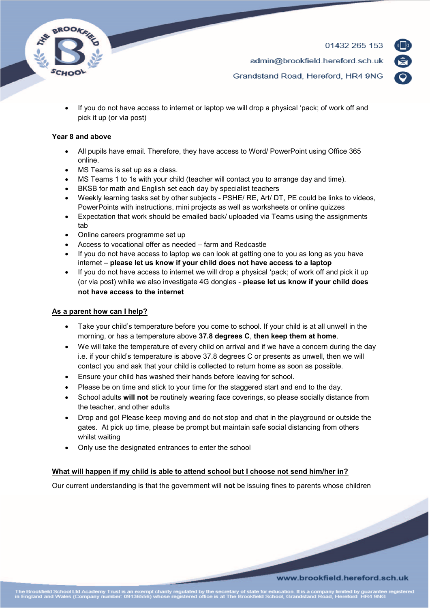

admin@brookfield.hereford.sch.uk

Grandstand Road, Hereford, HR4 9NG

- 
- If you do not have access to internet or laptop we will drop a physical 'pack; of work off and pick it up (or via post)

### **Year 8 and above**

- All pupils have email. Therefore, they have access to Word/ PowerPoint using Office 365 online.
- MS Teams is set up as a class.
- MS Teams 1 to 1s with your child (teacher will contact you to arrange day and time).
- BKSB for math and English set each day by specialist teachers
- Weekly learning tasks set by other subjects PSHE/ RE, Art/ DT, PE could be links to videos, PowerPoints with instructions, mini projects as well as worksheets or online quizzes
- Expectation that work should be emailed back/ uploaded via Teams using the assignments tab
- Online careers programme set up
- Access to vocational offer as needed farm and Redcastle
- If you do not have access to laptop we can look at getting one to you as long as you have internet – **please let us know if your child does not have access to a laptop**
- If you do not have access to internet we will drop a physical 'pack; of work off and pick it up (or via post) while we also investigate 4G dongles - **please let us know if your child does not have access to the internet**

## **As a parent how can I help?**

- Take your child's temperature before you come to school. If your child is at all unwell in the morning, or has a temperature above **37.8 degrees C**, **then keep them at home**.
- We will take the temperature of every child on arrival and if we have a concern during the day i.e. if your child's temperature is above 37.8 degrees C or presents as unwell, then we will contact you and ask that your child is collected to return home as soon as possible.
- Ensure your child has washed their hands before leaving for school.
- Please be on time and stick to your time for the staggered start and end to the day.
- School adults **will not** be routinely wearing face coverings, so please socially distance from the teacher, and other adults
- Drop and go! Please keep moving and do not stop and chat in the playground or outside the gates. At pick up time, please be prompt but maintain safe social distancing from others whilst waiting
- Only use the designated entrances to enter the school

## **What will happen if my child is able to attend school but I choose not send him/her in?**

Our current understanding is that the government will **not** be issuing fines to parents whose children